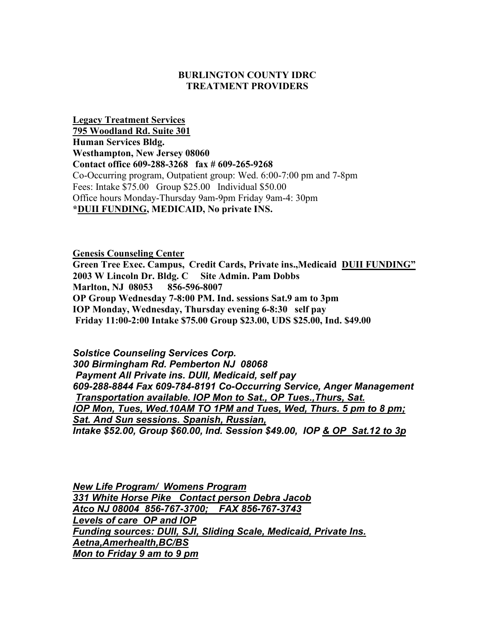## **BURLINGTON COUNTY IDRC TREATMENT PROVIDERS**

**Legacy Treatment Services 795 Woodland Rd. Suite 301 Human Services Bldg. Westhampton, New Jersey 08060 Contact office 609-288-3268 fax # 609-265-9268** Co-Occurring program, Outpatient group: Wed. 6:00-7:00 pm and 7-8pm Fees: Intake \$75.00 Group \$25.00 Individual \$50.00 Office hours Monday-Thursday 9am-9pm Friday 9am-4: 30pm **\*DUII FUNDING, MEDICAID, No private INS.**

**Genesis Counseling Center Green Tree Exec. Campus, Credit Cards, Private ins.,Medicaid DUII FUNDING" 2003 W Lincoln Dr. Bldg. C Site Admin. Pam Dobbs Marlton, NJ 08053 856-596-8007 OP Group Wednesday 7-8:00 PM. Ind. sessions Sat.9 am to 3pm IOP Monday, Wednesday, Thursday evening 6-8:30 self pay Friday 11:00-2:00 Intake \$75.00 Group \$23.00, UDS \$25.00, Ind. \$49.00**

*Solstice Counseling Services Corp. 300 Birmingham Rd. Pemberton NJ 08068 Payment All Private ins. DUII, Medicaid, self pay 609-288-8844 Fax 609-784-8191 Co-Occurring Service, Anger Management Transportation available. IOP Mon to Sat., OP Tues.,Thurs, Sat. IOP Mon, Tues, Wed.10AM TO 1PM and Tues, Wed, Thurs. 5 pm to 8 pm; Sat. And Sun sessions. Spanish, Russian, Intake \$52.00, Group \$60.00, Ind. Session \$49.00, IOP & OP Sat.12 to 3p*

*New Life Program/ Womens Program 331 White Horse Pike Contact person Debra Jacob Atco NJ 08004 856-767-3700; FAX 856-767-3743 Levels of care OP and IOP Funding sources: DUII, SJI, Sliding Scale, Medicaid, Private Ins. Aetna,Amerhealth,BC/BS Mon to Friday 9 am to 9 pm*